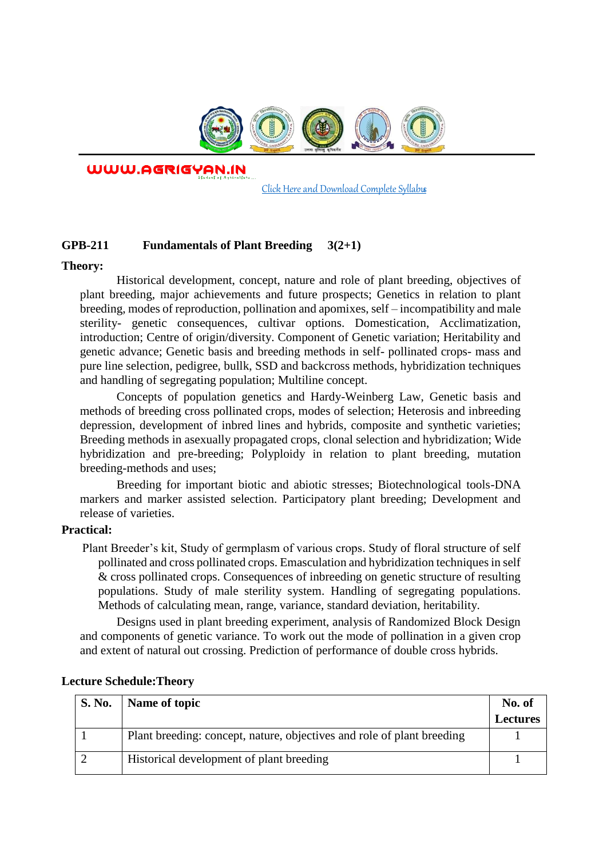

WWW.AGRIGYAN.IN

[Click Here and Download Complete Syllabus](http://agrigyan.in/)

# **GPB-211 Fundamentals of Plant Breeding 3(2+1)**

### **Theory:**

 $\overline{a}$ 

Historical development, concept, nature and role of plant breeding, objectives of plant breeding, major achievements and future prospects; Genetics in relation to plant breeding, modes of reproduction, pollination and apomixes, self – incompatibility and male sterility- genetic consequences, cultivar options. Domestication, Acclimatization, introduction; Centre of origin/diversity. Component of Genetic variation; Heritability and genetic advance; Genetic basis and breeding methods in self- pollinated crops- mass and pure line selection, pedigree, bullk, SSD and backcross methods, hybridization techniques and handling of segregating population; Multiline concept.

Concepts of population genetics and Hardy-Weinberg Law, Genetic basis and methods of breeding cross pollinated crops, modes of selection; Heterosis and inbreeding depression, development of inbred lines and hybrids, composite and synthetic varieties; Breeding methods in asexually propagated crops, clonal selection and hybridization; Wide hybridization and pre-breeding; Polyploidy in relation to plant breeding, mutation breeding-methods and uses;

Breeding for important biotic and abiotic stresses; Biotechnological tools-DNA markers and marker assisted selection. Participatory plant breeding; Development and release of varieties.

## **Practical:**

Plant Breeder's kit, Study of germplasm of various crops. Study of floral structure of self pollinated and cross pollinated crops. Emasculation and hybridization techniques in self & cross pollinated crops. Consequences of inbreeding on genetic structure of resulting populations. Study of male sterility system. Handling of segregating populations. Methods of calculating mean, range, variance, standard deviation, heritability.

Designs used in plant breeding experiment, analysis of Randomized Block Design and components of genetic variance. To work out the mode of pollination in a given crop and extent of natural out crossing. Prediction of performance of double cross hybrids.

| <b>S. No.</b> | Name of topic                                                          | No. of          |
|---------------|------------------------------------------------------------------------|-----------------|
|               |                                                                        | <b>Lectures</b> |
|               | Plant breeding: concept, nature, objectives and role of plant breeding |                 |
|               | Historical development of plant breeding                               |                 |

#### **Lecture Schedule:Theory**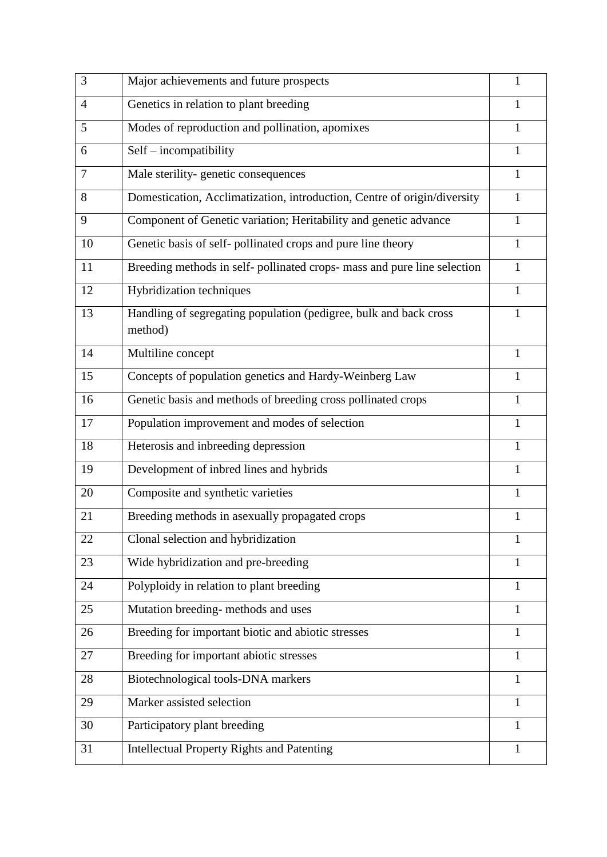| 3              | Major achievements and future prospects                                      | 1            |
|----------------|------------------------------------------------------------------------------|--------------|
| $\overline{4}$ | Genetics in relation to plant breeding                                       | 1            |
| 5              | Modes of reproduction and pollination, apomixes                              | 1            |
| 6              | Self - incompatibility                                                       | $\mathbf{1}$ |
| 7              | Male sterility-genetic consequences                                          | 1            |
| 8              | Domestication, Acclimatization, introduction, Centre of origin/diversity     | 1            |
| 9              | Component of Genetic variation; Heritability and genetic advance             | $\mathbf{1}$ |
| 10             | Genetic basis of self-pollinated crops and pure line theory                  | $\mathbf{1}$ |
| 11             | Breeding methods in self-pollinated crops-mass and pure line selection       | $\mathbf{1}$ |
| 12             | Hybridization techniques                                                     | $\mathbf{1}$ |
| 13             | Handling of segregating population (pedigree, bulk and back cross<br>method) | $\mathbf{1}$ |
| 14             | Multiline concept                                                            | $\mathbf{1}$ |
| 15             | Concepts of population genetics and Hardy-Weinberg Law                       | $\mathbf{1}$ |
| 16             | Genetic basis and methods of breeding cross pollinated crops                 | $\mathbf{1}$ |
| 17             | Population improvement and modes of selection                                | 1            |
| 18             | Heterosis and inbreeding depression                                          | 1            |
| 19             | Development of inbred lines and hybrids                                      | 1            |
| 20             | Composite and synthetic varieties                                            | $\mathbf{1}$ |
| 21             | Breeding methods in asexually propagated crops                               | 1            |
| 22             | Clonal selection and hybridization                                           | 1            |
| 23             | Wide hybridization and pre-breeding                                          | 1            |
| 24             | Polyploidy in relation to plant breeding                                     | $\mathbf{1}$ |
| 25             | Mutation breeding-methods and uses                                           | 1            |
| 26             | Breeding for important biotic and abiotic stresses                           | $\mathbf{1}$ |
| 27             | Breeding for important abiotic stresses                                      | $\mathbf{1}$ |
| 28             | Biotechnological tools-DNA markers                                           | $\mathbf{1}$ |
| 29             | Marker assisted selection                                                    | 1            |
| 30             | Participatory plant breeding                                                 | 1            |
| 31             | <b>Intellectual Property Rights and Patenting</b>                            | $\mathbf{1}$ |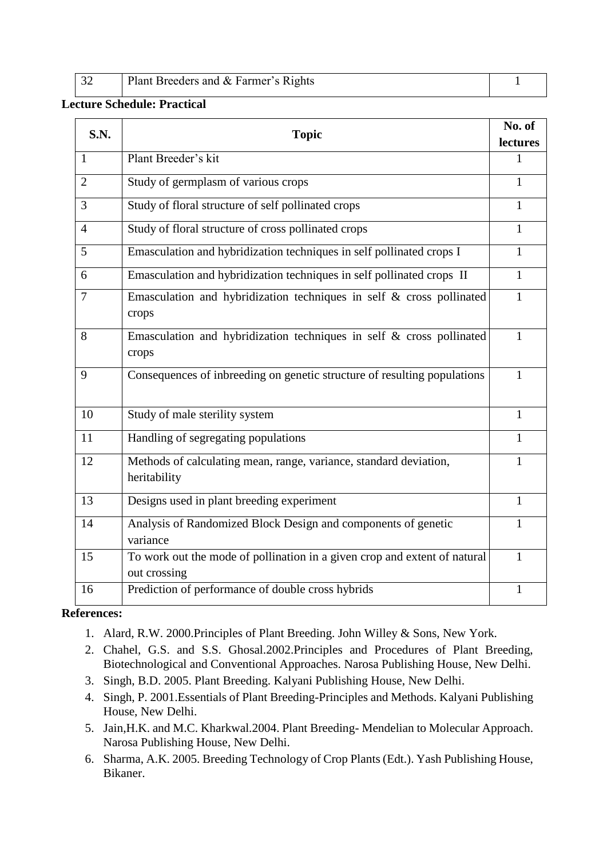|  | Plant Breeders and & Farmer's Rights |  |
|--|--------------------------------------|--|
|  |                                      |  |

# **Lecture Schedule: Practical**

| S.N.           | <b>Topic</b>                                                                              | No. of   |
|----------------|-------------------------------------------------------------------------------------------|----------|
|                |                                                                                           | lectures |
| 1              | Plant Breeder's kit                                                                       | 1        |
| $\overline{2}$ | Study of germplasm of various crops                                                       | 1        |
| 3              | Study of floral structure of self pollinated crops                                        | 1        |
| $\overline{4}$ | Study of floral structure of cross pollinated crops                                       | 1        |
| 5              | Emasculation and hybridization techniques in self pollinated crops I                      | 1        |
| 6              | Emasculation and hybridization techniques in self pollinated crops II                     | 1        |
| $\overline{7}$ | Emasculation and hybridization techniques in self & cross pollinated<br>crops             | 1        |
| 8              | Emasculation and hybridization techniques in self & cross pollinated<br>crops             | 1        |
| 9              | Consequences of inbreeding on genetic structure of resulting populations                  | 1        |
| 10             | Study of male sterility system                                                            | 1        |
| 11             | Handling of segregating populations                                                       | 1        |
| 12             | Methods of calculating mean, range, variance, standard deviation,<br>heritability         | 1        |
| 13             | Designs used in plant breeding experiment                                                 | 1        |
| 14             | Analysis of Randomized Block Design and components of genetic<br>variance                 | 1        |
| 15             | To work out the mode of pollination in a given crop and extent of natural<br>out crossing | 1        |
| 16             | Prediction of performance of double cross hybrids                                         | 1        |

# **References:**

- 1. Alard, R.W. 2000.Principles of Plant Breeding. John Willey & Sons, New York.
- 2. Chahel, G.S. and S.S. Ghosal.2002.Principles and Procedures of Plant Breeding, Biotechnological and Conventional Approaches. Narosa Publishing House, New Delhi.
- 3. Singh, B.D. 2005. Plant Breeding. Kalyani Publishing House, New Delhi.
- 4. Singh, P. 2001.Essentials of Plant Breeding-Principles and Methods. Kalyani Publishing House, New Delhi.
- 5. Jain,H.K. and M.C. Kharkwal.2004. Plant Breeding- Mendelian to Molecular Approach. Narosa Publishing House, New Delhi.
- 6. Sharma, A.K. 2005. Breeding Technology of Crop Plants (Edt.). Yash Publishing House, Bikaner.